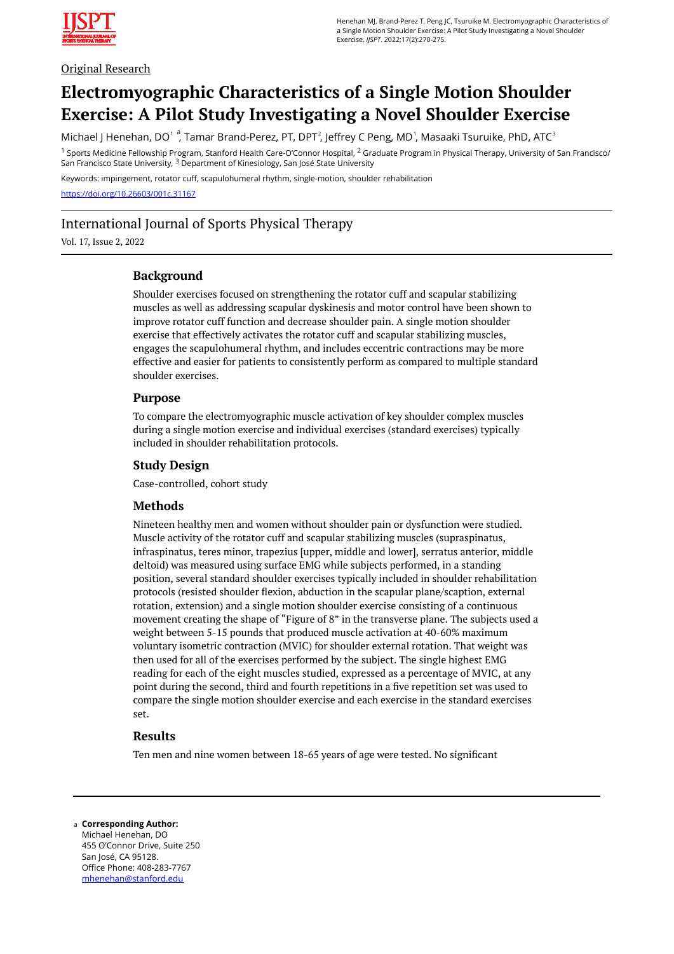

## Original Research

# **Electromyographic Characteristics of a Single Motion Shoulder Exercise: A Pilot Study Investigating a Novel Shoulder Exercise**

Michael J Henehan, DO<sup>1</sup>, Tamar Brand-Perez, PT, DPT<sup>2</sup>, Jeffrey C Peng, MD<sup>1</sup>, Masaaki Tsuruike, PhD, ATC<sup>3</sup>

<sup>1</sup> Sports Medicine Fellowship Program, Stanford Health Care-O'Connor Hospital, <sup>2</sup> Graduate Program in Physical Therapy, University of San Francisco/ San Francisco State University, <sup>3</sup> Department of Kinesiology, San José State University

Keywords: impingement, rotator cuff, scapulohumeral rhythm, single-motion, shoulder rehabilitation <https://doi.org/10.26603/001c.31167>

# International Journal of Sports Physical Therapy

Vol. 17, Issue 2, 2022

## **Background**

Shoulder exercises focused on strengthening the rotator cuff and scapular stabilizing muscles as well as addressing scapular dyskinesis and motor control have been shown to improve rotator cuff function and decrease shoulder pain. A single motion shoulder exercise that effectively activates the rotator cuff and scapular stabilizing muscles, engages the scapulohumeral rhythm, and includes eccentric contractions may be more effective and easier for patients to consistently perform as compared to multiple standard shoulder exercises.

#### **Purpose**

To compare the electromyographic muscle activation of key shoulder complex muscles during a single motion exercise and individual exercises (standard exercises) typically included in shoulder rehabilitation protocols.

## **Study Design**

Case-controlled, cohort study

## **Methods**

Nineteen healthy men and women without shoulder pain or dysfunction were studied. Muscle activity of the rotator cuff and scapular stabilizing muscles (supraspinatus, infraspinatus, teres minor, trapezius [upper, middle and lower], serratus anterior, middle deltoid) was measured using surface EMG while subjects performed, in a standing position, several standard shoulder exercises typically included in shoulder rehabilitation protocols (resisted shoulder flexion, abduction in the scapular plane/scaption, external rotation, extension) and a single motion shoulder exercise consisting of a continuous movement creating the shape of "Figure of 8" in the transverse plane. The subjects used a weight between 5-15 pounds that produced muscle activation at 40-60% maximum voluntary isometric contraction (MVIC) for shoulder external rotation. That weight was then used for all of the exercises performed by the subject. The single highest EMG reading for each of the eight muscles studied, expressed as a percentage of MVIC, at any point during the second, third and fourth repetitions in a five repetition set was used to compare the single motion shoulder exercise and each exercise in the standard exercises set.

## **Results**

Ten men and nine women between 18-65 years of age were tested. No significant

**Corresponding Author:**  a Michael Henehan, DO 455 O'Connor Drive, Suite 250 San José, CA 95128. Office Phone: 408-283-7767 [mhenehan@stanford.edu](mailto:mhenehan@stanford.edu)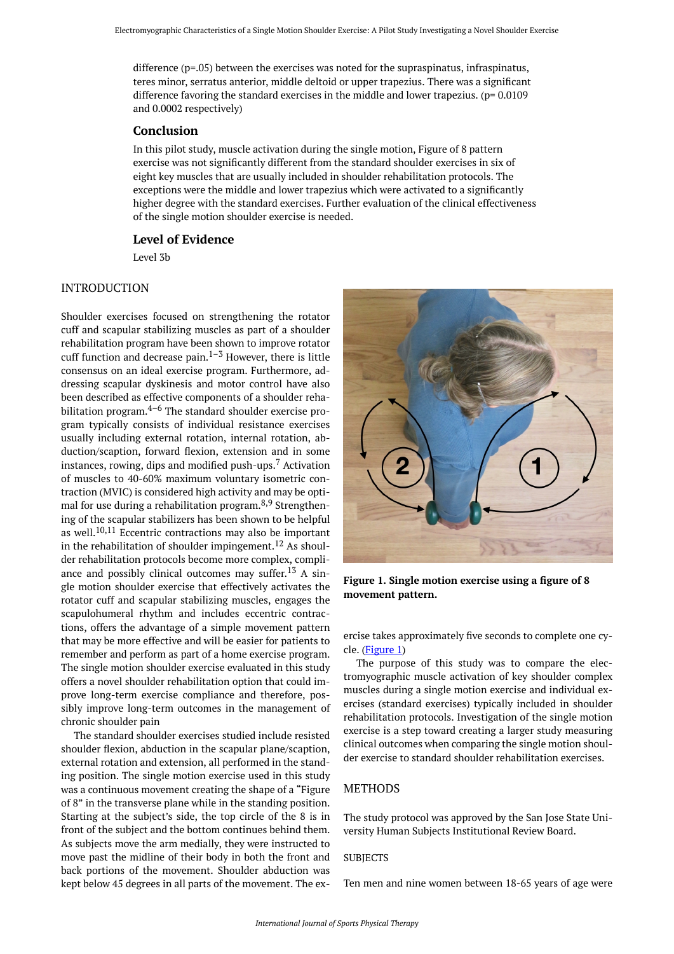difference (p=.05) between the exercises was noted for the supraspinatus, infraspinatus, teres minor, serratus anterior, middle deltoid or upper trapezius. There was a significant difference favoring the standard exercises in the middle and lower trapezius.  $(p= 0.0109)$ and 0.0002 respectively)

#### **Conclusion**

In this pilot study, muscle activation during the single motion, Figure of 8 pattern exercise was not significantly different from the standard shoulder exercises in six of eight key muscles that are usually included in shoulder rehabilitation protocols. The exceptions were the middle and lower trapezius which were activated to a significantly higher degree with the standard exercises. Further evaluation of the clinical effectiveness of the single motion shoulder exercise is needed.

#### **Level of Evidence**

Level 3b

#### <span id="page-1-0"></span>INTRODUCTION

Shoulder exercises focused on strengthening the rotator cuff and scapular stabilizing muscles as part of a shoulder rehabilitation program have been shown to improve rotator cuff function and decrease pain. $1-3$  However, there is little consensus on an ideal exercise program. Furthermore, addressing scapular dyskinesis and motor control have also been described as effective components of a shoulder rehabilitation program. $4-6$  The standard shoulder exercise program typically consists of individual resistance exercises usually including external rotation, internal rotation, abduction/scaption, forward flexion, extension and in some instances, rowing, dips and modified push-ups. $<sup>7</sup>$  Activation</sup> of muscles to 40-60% maximum voluntary isometric contraction (MVIC) is considered high activity and may be optimal for use during a rehabilitation program. $8,9$  Strengthening of the scapular stabilizers has been shown to be helpful as well.<sup>10,11</sup> Eccentric contractions may also be important in the rehabilitation of shoulder impingement.<sup>12</sup> As shoulder rehabilitation protocols become more complex, compliance and possibly clinical outcomes may suffer.<sup>13</sup> A single motion shoulder exercise that effectively activates the rotator cuff and scapular stabilizing muscles, engages the scapulohumeral rhythm and includes eccentric contractions, offers the advantage of a simple movement pattern that may be more effective and will be easier for patients to remember and perform as part of a home exercise program. The single motion shoulder exercise evaluated in this study offers a novel shoulder rehabilitation option that could improve long-term exercise compliance and therefore, possibly improve long-term outcomes in the management of chronic shoulder pain

The standard shoulder exercises studied include resisted shoulder flexion, abduction in the scapular plane/scaption, external rotation and extension, all performed in the standing position. The single motion exercise used in this study was a continuous movement creating the shape of a "Figure of 8" in the transverse plane while in the standing position. Starting at the subject's side, the top circle of the 8 is in front of the subject and the bottom continues behind them. As subjects move the arm medially, they were instructed to move past the midline of their body in both the front and back portions of the movement. Shoulder abduction was kept below 45 degrees in all parts of the movement. The ex-



**Figure 1. Single motion exercise using a figure of 8 movement pattern.** 

ercise takes approximately five seconds to complete one cycle. ([Figure 1](#page-1-0))

The purpose of this study was to compare the electromyographic muscle activation of key shoulder complex muscles during a single motion exercise and individual exercises (standard exercises) typically included in shoulder rehabilitation protocols. Investigation of the single motion exercise is a step toward creating a larger study measuring clinical outcomes when comparing the single motion shoulder exercise to standard shoulder rehabilitation exercises.

#### **METHODS**

The study protocol was approved by the San Jose State University Human Subjects Institutional Review Board.

#### **SUBJECTS**

Ten men and nine women between 18-65 years of age were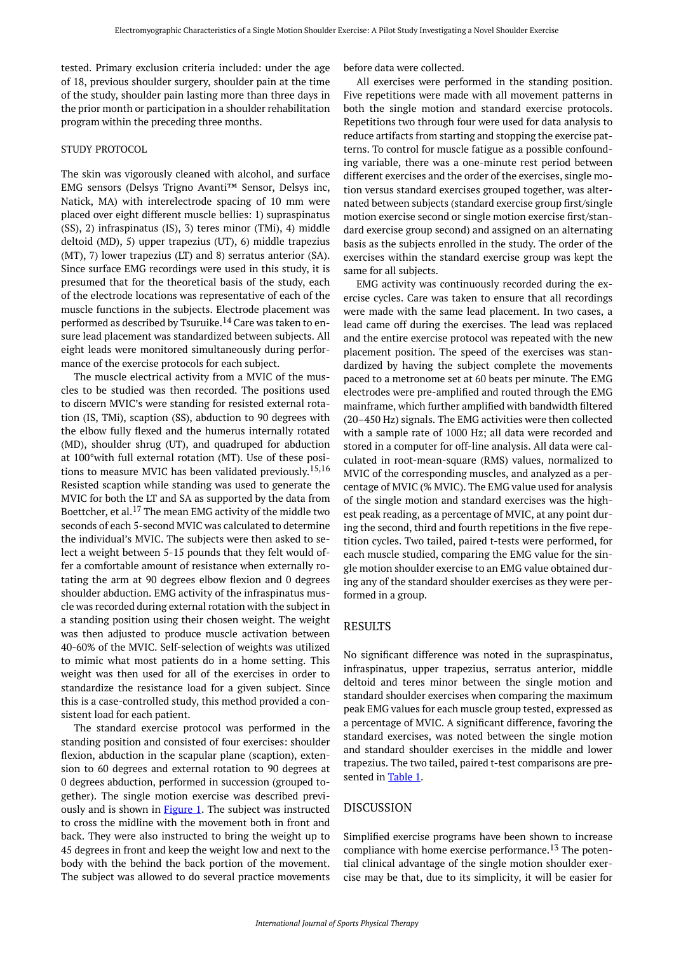tested. Primary exclusion criteria included: under the age of 18, previous shoulder surgery, shoulder pain at the time of the study, shoulder pain lasting more than three days in the prior month or participation in a shoulder rehabilitation program within the preceding three months.

#### STUDY PROTOCOL

The skin was vigorously cleaned with alcohol, and surface EMG sensors (Delsys Trigno Avanti™ Sensor, Delsys inc, Natick, MA) with interelectrode spacing of 10 mm were placed over eight different muscle bellies: 1) supraspinatus (SS), 2) infraspinatus (IS), 3) teres minor (TMi), 4) middle deltoid (MD), 5) upper trapezius (UT), 6) middle trapezius (MT), 7) lower trapezius (LT) and 8) serratus anterior (SA). Since surface EMG recordings were used in this study, it is presumed that for the theoretical basis of the study, each of the electrode locations was representative of each of the muscle functions in the subjects. Electrode placement was performed as described by Tsuruike.<sup>14</sup> Care was taken to ensure lead placement was standardized between subjects. All eight leads were monitored simultaneously during performance of the exercise protocols for each subject.

The muscle electrical activity from a MVIC of the muscles to be studied was then recorded. The positions used to discern MVIC's were standing for resisted external rotation (IS, TMi), scaption (SS), abduction to 90 degrees with the elbow fully flexed and the humerus internally rotated (MD), shoulder shrug (UT), and quadruped for abduction at 100°with full external rotation (MT). Use of these positions to measure MVIC has been validated previously. 15,16 Resisted scaption while standing was used to generate the MVIC for both the LT and SA as supported by the data from Boettcher, et al.<sup>17</sup> The mean EMG activity of the middle two seconds of each 5-second MVIC was calculated to determine the individual's MVIC. The subjects were then asked to select a weight between 5-15 pounds that they felt would offer a comfortable amount of resistance when externally rotating the arm at 90 degrees elbow flexion and 0 degrees shoulder abduction. EMG activity of the infraspinatus muscle was recorded during external rotation with the subject in a standing position using their chosen weight. The weight was then adjusted to produce muscle activation between 40-60% of the MVIC. Self-selection of weights was utilized to mimic what most patients do in a home setting. This weight was then used for all of the exercises in order to standardize the resistance load for a given subject. Since this is a case-controlled study, this method provided a consistent load for each patient.

The standard exercise protocol was performed in the standing position and consisted of four exercises: shoulder flexion, abduction in the scapular plane (scaption), extension to 60 degrees and external rotation to 90 degrees at 0 degrees abduction, performed in succession (grouped together). The single motion exercise was described previously and is shown in **Figure 1**. The subject was instructed to cross the midline with the movement both in front and back. They were also instructed to bring the weight up to 45 degrees in front and keep the weight low and next to the body with the behind the back portion of the movement. The subject was allowed to do several practice movements

before data were collected.

All exercises were performed in the standing position. Five repetitions were made with all movement patterns in both the single motion and standard exercise protocols. Repetitions two through four were used for data analysis to reduce artifacts from starting and stopping the exercise patterns. To control for muscle fatigue as a possible confounding variable, there was a one-minute rest period between different exercises and the order of the exercises, single motion versus standard exercises grouped together, was alternated between subjects (standard exercise group first/single motion exercise second or single motion exercise first/standard exercise group second) and assigned on an alternating basis as the subjects enrolled in the study. The order of the exercises within the standard exercise group was kept the same for all subjects.

EMG activity was continuously recorded during the exercise cycles. Care was taken to ensure that all recordings were made with the same lead placement. In two cases, a lead came off during the exercises. The lead was replaced and the entire exercise protocol was repeated with the new placement position. The speed of the exercises was standardized by having the subject complete the movements paced to a metronome set at 60 beats per minute. The EMG electrodes were pre-amplified and routed through the EMG mainframe, which further amplified with bandwidth filtered (20–450 Hz) signals. The EMG activities were then collected with a sample rate of 1000 Hz; all data were recorded and stored in a computer for off-line analysis. All data were calculated in root-mean-square (RMS) values, normalized to MVIC of the corresponding muscles, and analyzed as a percentage of MVIC (% MVIC). The EMG value used for analysis of the single motion and standard exercises was the highest peak reading, as a percentage of MVIC, at any point during the second, third and fourth repetitions in the five repetition cycles. Two tailed, paired t-tests were performed, for each muscle studied, comparing the EMG value for the single motion shoulder exercise to an EMG value obtained during any of the standard shoulder exercises as they were performed in a group.

#### RESULTS

No significant difference was noted in the supraspinatus, infraspinatus, upper trapezius, serratus anterior, middle deltoid and teres minor between the single motion and standard shoulder exercises when comparing the maximum peak EMG values for each muscle group tested, expressed as a percentage of MVIC. A significant difference, favoring the standard exercises, was noted between the single motion and standard shoulder exercises in the middle and lower trapezius. The two tailed, paired t-test comparisons are pre-sented in [Table 1.](#page-3-0)

#### DISCUSSION

Simplified exercise programs have been shown to increase compliance with home exercise performance.<sup>13</sup> The potential clinical advantage of the single motion shoulder exercise may be that, due to its simplicity, it will be easier for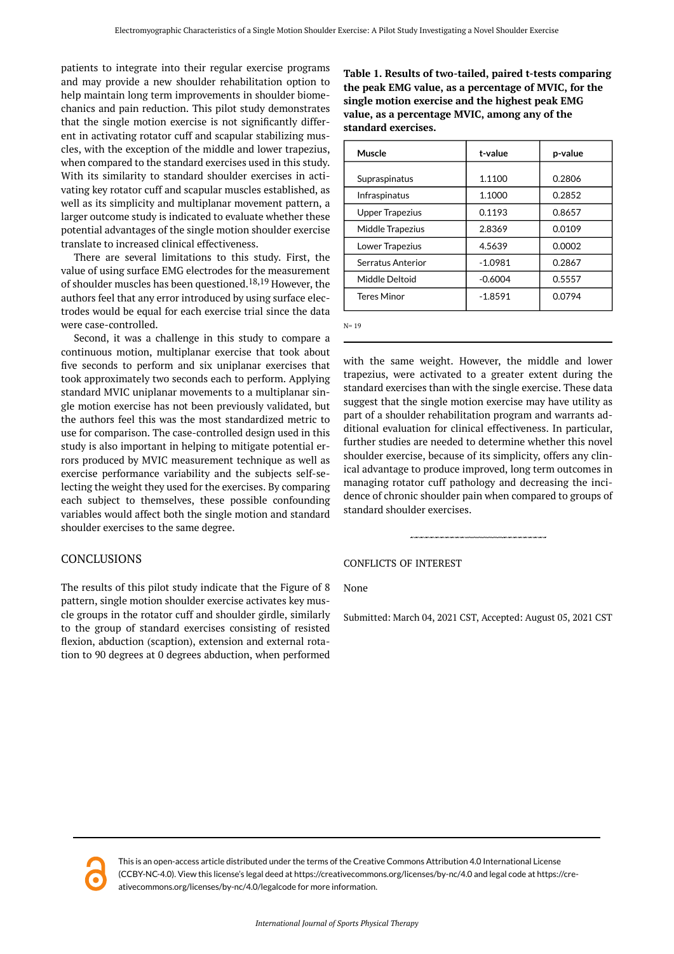<span id="page-3-0"></span>patients to integrate into their regular exercise programs and may provide a new shoulder rehabilitation option to help maintain long term improvements in shoulder biomechanics and pain reduction. This pilot study demonstrates that the single motion exercise is not significantly different in activating rotator cuff and scapular stabilizing muscles, with the exception of the middle and lower trapezius, when compared to the standard exercises used in this study. With its similarity to standard shoulder exercises in activating key rotator cuff and scapular muscles established, as well as its simplicity and multiplanar movement pattern, a larger outcome study is indicated to evaluate whether these potential advantages of the single motion shoulder exercise translate to increased clinical effectiveness.

There are several limitations to this study. First, the value of using surface EMG electrodes for the measurement of shoulder muscles has been questioned.<sup>18,19</sup> However, the authors feel that any error introduced by using surface electrodes would be equal for each exercise trial since the data were case-controlled.

Second, it was a challenge in this study to compare a continuous motion, multiplanar exercise that took about five seconds to perform and six uniplanar exercises that took approximately two seconds each to perform. Applying standard MVIC uniplanar movements to a multiplanar single motion exercise has not been previously validated, but the authors feel this was the most standardized metric to use for comparison. The case-controlled design used in this study is also important in helping to mitigate potential errors produced by MVIC measurement technique as well as exercise performance variability and the subjects self-selecting the weight they used for the exercises. By comparing each subject to themselves, these possible confounding variables would affect both the single motion and standard shoulder exercises to the same degree.

#### CONCLUSIONS

The results of this pilot study indicate that the Figure of 8 pattern, single motion shoulder exercise activates key muscle groups in the rotator cuff and shoulder girdle, similarly to the group of standard exercises consisting of resisted flexion, abduction (scaption), extension and external rotation to 90 degrees at 0 degrees abduction, when performed

**Table 1. Results of two-tailed, paired t-tests comparing the peak EMG value, as a percentage of MVIC, for the single motion exercise and the highest peak EMG value, as a percentage MVIC, among any of the standard exercises.** 

| Muscle                 | t-value   | p-value |
|------------------------|-----------|---------|
|                        |           |         |
| Supraspinatus          | 1.1100    | 0.2806  |
| Infraspinatus          | 1.1000    | 0.2852  |
| <b>Upper Trapezius</b> | 0.1193    | 0.8657  |
| Middle Trapezius       | 2.8369    | 0.0109  |
| Lower Trapezius        | 4.5639    | 0.0002  |
| Serratus Anterior      | $-1.0981$ | 0.2867  |
| Middle Deltoid         | $-0.6004$ | 0.5557  |
| <b>Teres Minor</b>     | $-1.8591$ | 0.0794  |

N= 19

with the same weight. However, the middle and lower trapezius, were activated to a greater extent during the standard exercises than with the single exercise. These data suggest that the single motion exercise may have utility as part of a shoulder rehabilitation program and warrants additional evaluation for clinical effectiveness. In particular, further studies are needed to determine whether this novel shoulder exercise, because of its simplicity, offers any clinical advantage to produce improved, long term outcomes in managing rotator cuff pathology and decreasing the incidence of chronic shoulder pain when compared to groups of standard shoulder exercises.

#### CONFLICTS OF INTEREST

None

Submitted: March 04, 2021 CST, Accepted: August 05, 2021 CST



This is an open-access article distributed under the terms of the Creative Commons Attribution 4.0 International License (CCBY-NC-4.0). View this license's legal deed at https://creativecommons.org/licenses/by-nc/4.0 and legal code at https://creativecommons.org/licenses/by-nc/4.0/legalcode for more information.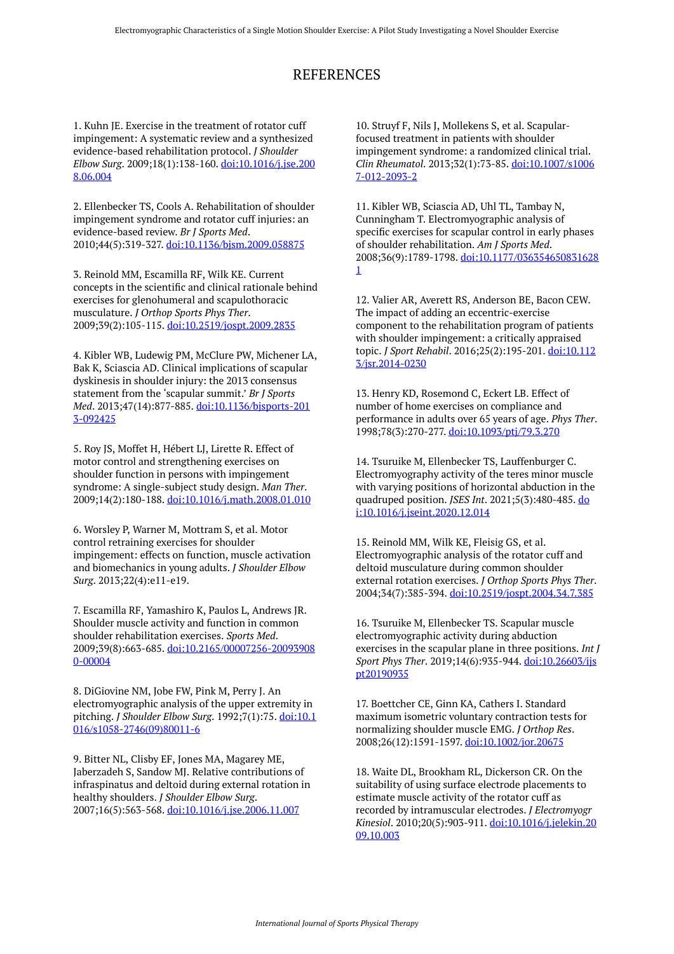# REFERENCES

1. Kuhn JE. Exercise in the treatment of rotator cuff impingement: A systematic review and a synthesized evidence-based rehabilitation protocol. *J Shoulder Elbow Surg*. 2009;18(1):138-160. [doi:10.1016/j.jse.200](https://doi.org/10.1016/j.jse.2008.06.004) [8.06.004](https://doi.org/10.1016/j.jse.2008.06.004) 

2. Ellenbecker TS, Cools A. Rehabilitation of shoulder impingement syndrome and rotator cuff injuries: an evidence-based review. *Br J Sports Med*. 2010;44(5):319-327. [doi:10.1136/bjsm.2009.058875](https://doi.org/10.1136/bjsm.2009.058875)

3. Reinold MM, Escamilla RF, Wilk KE. Current concepts in the scientific and clinical rationale behind exercises for glenohumeral and scapulothoracic musculature. *J Orthop Sports Phys Ther*. 2009;39(2):105-115. [doi:10.2519/jospt.2009.2835](https://doi.org/10.2519/jospt.2009.2835)

4. Kibler WB, Ludewig PM, McClure PW, Michener LA, Bak K, Sciascia AD. Clinical implications of scapular dyskinesis in shoulder injury: the 2013 consensus statement from the 'scapular summit.' *Br J Sports Med*. 2013;47(14):877-885. [doi:10.1136/bjsports-201](https://doi.org/10.1136/bjsports-2013-092425) [3-092425](https://doi.org/10.1136/bjsports-2013-092425)

5. Roy JS, Moffet H, Hébert LJ, Lirette R. Effect of motor control and strengthening exercises on shoulder function in persons with impingement syndrome: A single-subject study design. *Man Ther*. 2009;14(2):180-188. [doi:10.1016/j.math.2008.01.010](https://doi.org/10.1016/j.math.2008.01.010) 

6. Worsley P, Warner M, Mottram S, et al. Motor control retraining exercises for shoulder impingement: effects on function, muscle activation and biomechanics in young adults. *J Shoulder Elbow Surg*. 2013;22(4):e11-e19.

7. Escamilla RF, Yamashiro K, Paulos L, Andrews JR. Shoulder muscle activity and function in common shoulder rehabilitation exercises. *Sports Med*. 2009;39(8):663-685. [doi:10.2165/00007256-20093908](https://doi.org/10.2165/00007256-200939080-00004) [0-00004](https://doi.org/10.2165/00007256-200939080-00004)

8. DiGiovine NM, Jobe FW, Pink M, Perry J. An electromyographic analysis of the upper extremity in pitching. *J Shoulder Elbow Surg*. 1992;7(1):75. [doi:10.1](https://doi.org/10.1016/s1058-2746(09)80011-6) [016/s1058-2746\(09\)80011-6](https://doi.org/10.1016/s1058-2746(09)80011-6) 

9. Bitter NL, Clisby EF, Jones MA, Magarey ME, Jaberzadeh S, Sandow MJ. Relative contributions of infraspinatus and deltoid during external rotation in healthy shoulders. *J Shoulder Elbow Surg*. 2007;16(5):563-568. [doi:10.1016/j.jse.2006.11.007](https://doi.org/10.1016/j.jse.2006.11.007) 

10. Struyf F, Nils J, Mollekens S, et al. Scapularfocused treatment in patients with shoulder impingement syndrome: a randomized clinical trial. *Clin Rheumatol*. 2013;32(1):73-85. [doi:10.1007/s1006](https://doi.org/10.1007/s10067-012-2093-2) [7-012-2093-2](https://doi.org/10.1007/s10067-012-2093-2) 

11. Kibler WB, Sciascia AD, Uhl TL, Tambay N, Cunningham T. Electromyographic analysis of specific exercises for scapular control in early phases of shoulder rehabilitation. *Am J Sports Med*. 2008;36(9):1789-1798. [doi:10.1177/036354650831628](https://doi.org/10.1177/0363546508316281) [1](https://doi.org/10.1177/0363546508316281)

12. Valier AR, Averett RS, Anderson BE, Bacon CEW. The impact of adding an eccentric-exercise component to the rehabilitation program of patients with shoulder impingement: a critically appraised topic. *J Sport Rehabil*. 2016;25(2):195-201. [doi:10.112](https://doi.org/10.1123/jsr.2014-0230) [3/jsr.2014-0230](https://doi.org/10.1123/jsr.2014-0230) 

13. Henry KD, Rosemond C, Eckert LB. Effect of number of home exercises on compliance and performance in adults over 65 years of age. *Phys Ther*. 1998;78(3):270-277. [doi:10.1093/ptj/79.3.270](https://doi.org/10.1093/ptj/79.3.270)

14. Tsuruike M, Ellenbecker TS, Lauffenburger C. Electromyography activity of the teres minor muscle with varying positions of horizontal abduction in the quadruped position. *JSES Int*. 2021;5(3):480-485. [do](https://doi.org/10.1016/j.jseint.2020.12.014) [i:10.1016/j.jseint.2020.12.014](https://doi.org/10.1016/j.jseint.2020.12.014) 

15. Reinold MM, Wilk KE, Fleisig GS, et al. Electromyographic analysis of the rotator cuff and deltoid musculature during common shoulder external rotation exercises. *J Orthop Sports Phys Ther*. 2004;34(7):385-394. [doi:10.2519/jospt.2004.34.7.385](https://doi.org/10.2519/jospt.2004.34.7.385)

16. Tsuruike M, Ellenbecker TS. Scapular muscle electromyographic activity during abduction exercises in the scapular plane in three positions. *Int J Sport Phys Ther*. 2019;14(6):935-944. [doi:10.26603/ijs](https://doi.org/10.26603/ijspt20190935) [pt20190935](https://doi.org/10.26603/ijspt20190935)

17. Boettcher CE, Ginn KA, Cathers I. Standard maximum isometric voluntary contraction tests for normalizing shoulder muscle EMG. *J Orthop Res*. 2008;26(12):1591-1597. [doi:10.1002/jor.20675](https://doi.org/10.1002/jor.20675)

18. Waite DL, Brookham RL, Dickerson CR. On the suitability of using surface electrode placements to estimate muscle activity of the rotator cuff as recorded by intramuscular electrodes. *J Electromyogr Kinesiol*. 2010;20(5):903-911. [doi:10.1016/j.jelekin.20](https://doi.org/10.1016/j.jelekin.2009.10.003) [09.10.003](https://doi.org/10.1016/j.jelekin.2009.10.003)